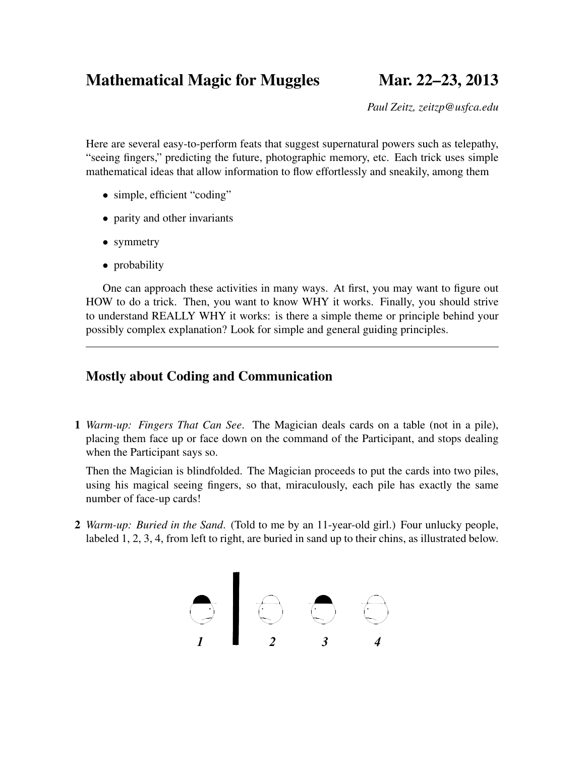# Mathematical Magic for Muggles Mar. 22–23, 2013

*Paul Zeitz, zeitzp@usfca.edu*

Here are several easy-to-perform feats that suggest supernatural powers such as telepathy, "seeing fingers," predicting the future, photographic memory, etc. Each trick uses simple mathematical ideas that allow information to flow effortlessly and sneakily, among them

- simple, efficient "coding"
- parity and other invariants
- symmetry
- probability

One can approach these activities in many ways. At first, you may want to figure out HOW to do a trick. Then, you want to know WHY it works. Finally, you should strive to understand REALLY WHY it works: is there a simple theme or principle behind your possibly complex explanation? Look for simple and general guiding principles.

### Mostly about Coding and Communication

1 *Warm-up: Fingers That Can See*. The Magician deals cards on a table (not in a pile), placing them face up or face down on the command of the Participant, and stops dealing when the Participant says so.

Then the Magician is blindfolded. The Magician proceeds to put the cards into two piles, using his magical seeing fingers, so that, miraculously, each pile has exactly the same number of face-up cards!

2 *Warm-up: Buried in the Sand*. (Told to me by an 11-year-old girl.) Four unlucky people, labeled 1, 2, 3, 4, from left to right, are buried in sand up to their chins, as illustrated below.

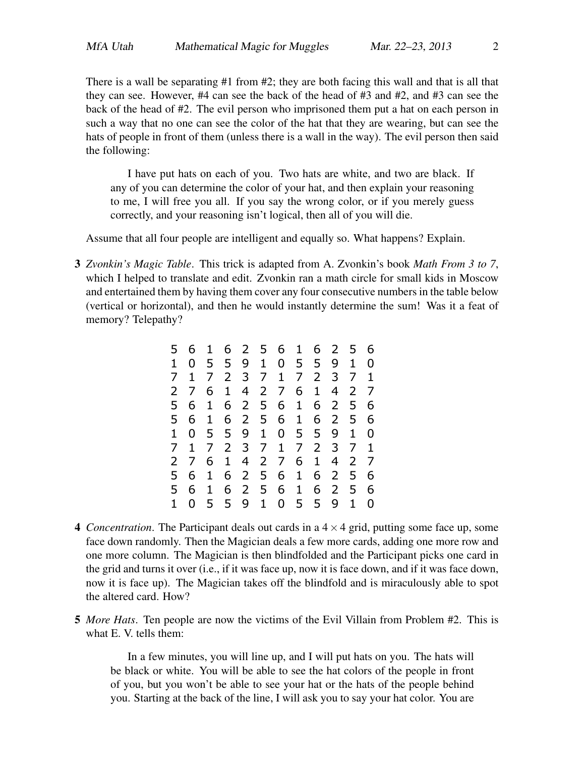There is a wall be separating  $#1$  from  $#2$ ; they are both facing this wall and that is all that they can see. However, #4 can see the back of the head of #3 and #2, and #3 can see the back of the head of #2. The evil person who imprisoned them put a hat on each person in such a way that no one can see the color of the hat that they are wearing, but can see the hats of people in front of them (unless there is a wall in the way). The evil person then said the following:

I have put hats on each of you. Two hats are white, and two are black. If any of you can determine the color of your hat, and then explain your reasoning to me, I will free you all. If you say the wrong color, or if you merely guess correctly, and your reasoning isn't logical, then all of you will die.

Assume that all four people are intelligent and equally so. What happens? Explain.

3 *Zvonkin's Magic Table*. This trick is adapted from A. Zvonkin's book *Math From 3 to 7*, which I helped to translate and edit. Zvonkin ran a math circle for small kids in Moscow and entertained them by having them cover any four consecutive numbers in the table below (vertical or horizontal), and then he would instantly determine the sum! Was it a feat of memory? Telepathy?

| 5. | 6 | 1              |                | 6 2 5 6 1      |              |                  |                     |              | 6 2 5          |                | 6              |
|----|---|----------------|----------------|----------------|--------------|------------------|---------------------|--------------|----------------|----------------|----------------|
|    | 0 | 5              | 5              | 9              | 1            |                  | $0\times 5\times 5$ |              | 9              | 1              | 0              |
| 7  | 1 | 7              | 2              | 3 <sup>7</sup> |              | 7 <sub>1</sub>   | 7                   | 2            | 3              | 7              | 1              |
| 2  | 7 | 6              | $\mathbf 1$    | 4              |              | $2 \overline{7}$ | 6                   | $\mathbf{1}$ | 4              | $\overline{2}$ | $\overline{7}$ |
| 5  | 6 | $\mathbf{1}$   |                | 6 2 5          |              |                  | 6 1                 | 6            | $\overline{2}$ | 5              | 6              |
| 5  | 6 | 1              |                | 6 2 5 6 1      |              |                  |                     | 6            | $\overline{2}$ | 5              | 6              |
| 1  | 0 | 5 <sup>5</sup> | 5              | 9              | 1            |                  | $0\quad 5\quad 5$   |              | 9              | 1              | 0              |
| 7  | 1 | 7              |                | 2 <sub>3</sub> |              | $7\quad1$        | $\overline{7}$      |              | 2 <sub>3</sub> | $\overline{7}$ | $\mathbf{1}$   |
| 2  | 7 | 6              | 1              | 4 <sup>1</sup> |              | $2 \overline{7}$ | 6                   | $\mathbf{1}$ | 4              | $\overline{2}$ | 7              |
| 5  | 6 | 1              |                | 6 2            | $5 -$        | 6                | 1                   | 6            | $\overline{2}$ | 5              | 6              |
| 5  | 6 | 1              |                | 6 2            | 5            | $6\overline{6}$  | $\mathbf{1}$        | 6            | $\overline{2}$ | 5              | 6              |
|    |   | 5 <sub>5</sub> | 5 <sup>1</sup> | 9              | $\mathbf{1}$ |                  | $0\;\;5\;\;5$       |              | 9              | 1              | 0              |
|    |   |                |                |                |              |                  |                     |              |                |                |                |

- 4 *Concentration*. The Participant deals out cards in a  $4 \times 4$  grid, putting some face up, some face down randomly. Then the Magician deals a few more cards, adding one more row and one more column. The Magician is then blindfolded and the Participant picks one card in the grid and turns it over (i.e., if it was face up, now it is face down, and if it was face down, now it is face up). The Magician takes off the blindfold and is miraculously able to spot the altered card. How?
- 5 *More Hats*. Ten people are now the victims of the Evil Villain from Problem #2. This is what E. V. tells them:

In a few minutes, you will line up, and I will put hats on you. The hats will be black or white. You will be able to see the hat colors of the people in front of you, but you won't be able to see your hat or the hats of the people behind you. Starting at the back of the line, I will ask you to say your hat color. You are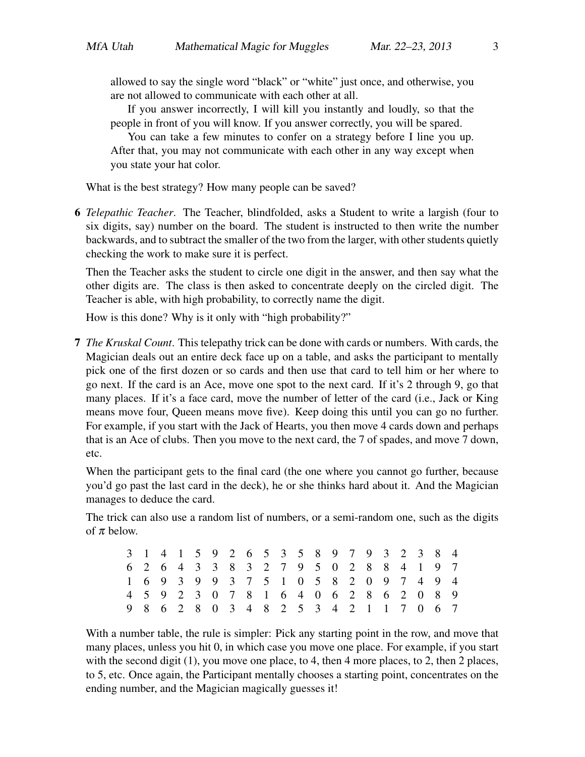allowed to say the single word "black" or "white" just once, and otherwise, you are not allowed to communicate with each other at all.

If you answer incorrectly, I will kill you instantly and loudly, so that the people in front of you will know. If you answer correctly, you will be spared.

You can take a few minutes to confer on a strategy before I line you up. After that, you may not communicate with each other in any way except when you state your hat color.

What is the best strategy? How many people can be saved?

6 *Telepathic Teacher*. The Teacher, blindfolded, asks a Student to write a largish (four to six digits, say) number on the board. The student is instructed to then write the number backwards, and to subtract the smaller of the two from the larger, with other students quietly checking the work to make sure it is perfect.

Then the Teacher asks the student to circle one digit in the answer, and then say what the other digits are. The class is then asked to concentrate deeply on the circled digit. The Teacher is able, with high probability, to correctly name the digit.

How is this done? Why is it only with "high probability?"

7 *The Kruskal Count*. This telepathy trick can be done with cards or numbers. With cards, the Magician deals out an entire deck face up on a table, and asks the participant to mentally pick one of the first dozen or so cards and then use that card to tell him or her where to go next. If the card is an Ace, move one spot to the next card. If it's 2 through 9, go that many places. If it's a face card, move the number of letter of the card (i.e., Jack or King means move four, Queen means move five). Keep doing this until you can go no further. For example, if you start with the Jack of Hearts, you then move 4 cards down and perhaps that is an Ace of clubs. Then you move to the next card, the 7 of spades, and move 7 down, etc.

When the participant gets to the final card (the one where you cannot go further, because you'd go past the last card in the deck), he or she thinks hard about it. And the Magician manages to deduce the card.

The trick can also use a random list of numbers, or a semi-random one, such as the digits of  $\pi$  below.

|  |  |  | 3 1 4 1 5 9 2 6 5 3 5 8 9 7 9 3 2 3 8 4 |  |  |  |  |  |  |
|--|--|--|-----------------------------------------|--|--|--|--|--|--|
|  |  |  | 6 2 6 4 3 3 8 3 2 7 9 5 0 2 8 8 4 1 9 7 |  |  |  |  |  |  |
|  |  |  | 1 6 9 3 9 9 3 7 5 1 0 5 8 2 0 9 7 4 9 4 |  |  |  |  |  |  |
|  |  |  | 4 5 9 2 3 0 7 8 1 6 4 0 6 2 8 6 2 0 8 9 |  |  |  |  |  |  |
|  |  |  | 9 8 6 2 8 0 3 4 8 2 5 3 4 2 1 1 7 0 6 7 |  |  |  |  |  |  |

With a number table, the rule is simpler: Pick any starting point in the row, and move that many places, unless you hit 0, in which case you move one place. For example, if you start with the second digit (1), you move one place, to 4, then 4 more places, to 2, then 2 places, to 5, etc. Once again, the Participant mentally chooses a starting point, concentrates on the ending number, and the Magician magically guesses it!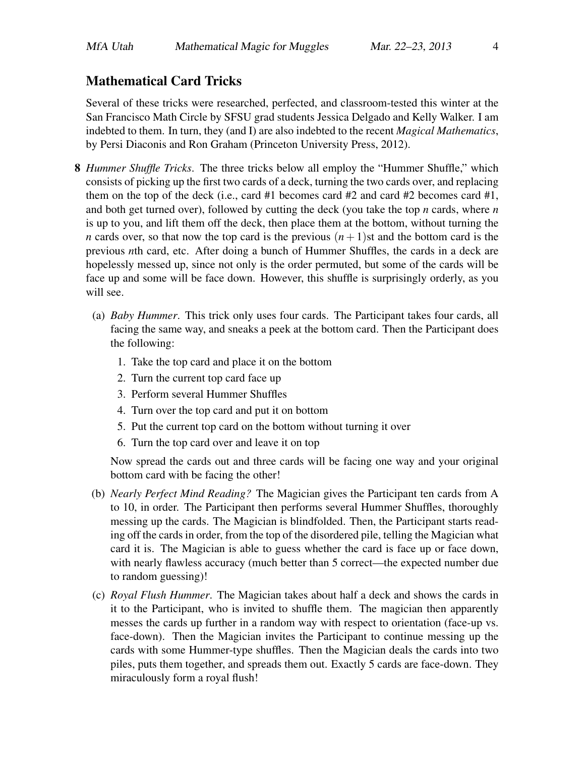## Mathematical Card Tricks

Several of these tricks were researched, perfected, and classroom-tested this winter at the San Francisco Math Circle by SFSU grad students Jessica Delgado and Kelly Walker. I am indebted to them. In turn, they (and I) are also indebted to the recent *Magical Mathematics*, by Persi Diaconis and Ron Graham (Princeton University Press, 2012).

- 8 *Hummer Shuffle Tricks*. The three tricks below all employ the "Hummer Shuffle," which consists of picking up the first two cards of a deck, turning the two cards over, and replacing them on the top of the deck (i.e., card #1 becomes card #2 and card #2 becomes card #1, and both get turned over), followed by cutting the deck (you take the top *n* cards, where *n* is up to you, and lift them off the deck, then place them at the bottom, without turning the *n* cards over, so that now the top card is the previous  $(n+1)$ st and the bottom card is the previous *n*th card, etc. After doing a bunch of Hummer Shuffles, the cards in a deck are hopelessly messed up, since not only is the order permuted, but some of the cards will be face up and some will be face down. However, this shuffle is surprisingly orderly, as you will see.
	- (a) *Baby Hummer*. This trick only uses four cards. The Participant takes four cards, all facing the same way, and sneaks a peek at the bottom card. Then the Participant does the following:
		- 1. Take the top card and place it on the bottom
		- 2. Turn the current top card face up
		- 3. Perform several Hummer Shuffles
		- 4. Turn over the top card and put it on bottom
		- 5. Put the current top card on the bottom without turning it over
		- 6. Turn the top card over and leave it on top

Now spread the cards out and three cards will be facing one way and your original bottom card with be facing the other!

- (b) *Nearly Perfect Mind Reading?* The Magician gives the Participant ten cards from A to 10, in order. The Participant then performs several Hummer Shuffles, thoroughly messing up the cards. The Magician is blindfolded. Then, the Participant starts reading off the cards in order, from the top of the disordered pile, telling the Magician what card it is. The Magician is able to guess whether the card is face up or face down, with nearly flawless accuracy (much better than 5 correct—the expected number due to random guessing)!
- (c) *Royal Flush Hummer*. The Magician takes about half a deck and shows the cards in it to the Participant, who is invited to shuffle them. The magician then apparently messes the cards up further in a random way with respect to orientation (face-up vs. face-down). Then the Magician invites the Participant to continue messing up the cards with some Hummer-type shuffles. Then the Magician deals the cards into two piles, puts them together, and spreads them out. Exactly 5 cards are face-down. They miraculously form a royal flush!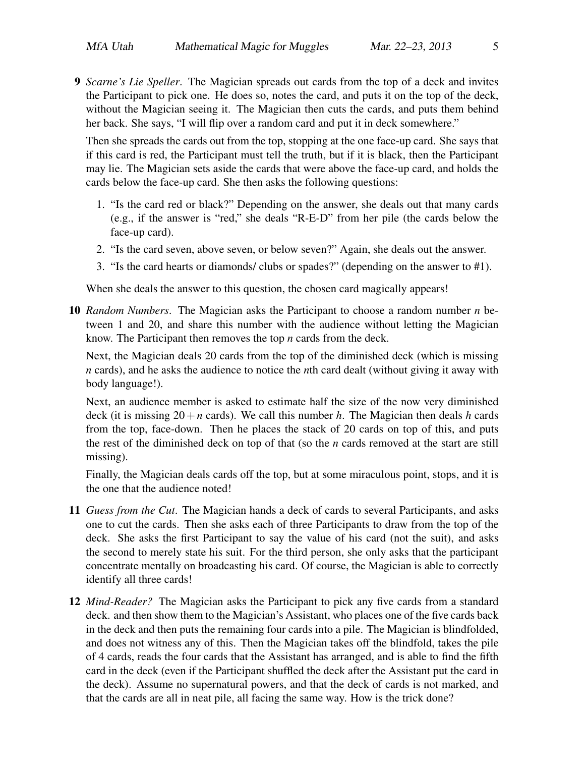9 *Scarne's Lie Speller*. The Magician spreads out cards from the top of a deck and invites the Participant to pick one. He does so, notes the card, and puts it on the top of the deck, without the Magician seeing it. The Magician then cuts the cards, and puts them behind her back. She says, "I will flip over a random card and put it in deck somewhere."

Then she spreads the cards out from the top, stopping at the one face-up card. She says that if this card is red, the Participant must tell the truth, but if it is black, then the Participant may lie. The Magician sets aside the cards that were above the face-up card, and holds the cards below the face-up card. She then asks the following questions:

- 1. "Is the card red or black?" Depending on the answer, she deals out that many cards (e.g., if the answer is "red," she deals "R-E-D" from her pile (the cards below the face-up card).
- 2. "Is the card seven, above seven, or below seven?" Again, she deals out the answer.
- 3. "Is the card hearts or diamonds/ clubs or spades?" (depending on the answer to #1).

When she deals the answer to this question, the chosen card magically appears!

10 *Random Numbers*. The Magician asks the Participant to choose a random number *n* between 1 and 20, and share this number with the audience without letting the Magician know. The Participant then removes the top *n* cards from the deck.

Next, the Magician deals 20 cards from the top of the diminished deck (which is missing *n* cards), and he asks the audience to notice the *n*th card dealt (without giving it away with body language!).

Next, an audience member is asked to estimate half the size of the now very diminished deck (it is missing  $20 + n$  cards). We call this number *h*. The Magician then deals *h* cards from the top, face-down. Then he places the stack of 20 cards on top of this, and puts the rest of the diminished deck on top of that (so the *n* cards removed at the start are still missing).

Finally, the Magician deals cards off the top, but at some miraculous point, stops, and it is the one that the audience noted!

- 11 *Guess from the Cut*. The Magician hands a deck of cards to several Participants, and asks one to cut the cards. Then she asks each of three Participants to draw from the top of the deck. She asks the first Participant to say the value of his card (not the suit), and asks the second to merely state his suit. For the third person, she only asks that the participant concentrate mentally on broadcasting his card. Of course, the Magician is able to correctly identify all three cards!
- 12 *Mind-Reader?* The Magician asks the Participant to pick any five cards from a standard deck. and then show them to the Magician's Assistant, who places one of the five cards back in the deck and then puts the remaining four cards into a pile. The Magician is blindfolded, and does not witness any of this. Then the Magician takes off the blindfold, takes the pile of 4 cards, reads the four cards that the Assistant has arranged, and is able to find the fifth card in the deck (even if the Participant shuffled the deck after the Assistant put the card in the deck). Assume no supernatural powers, and that the deck of cards is not marked, and that the cards are all in neat pile, all facing the same way. How is the trick done?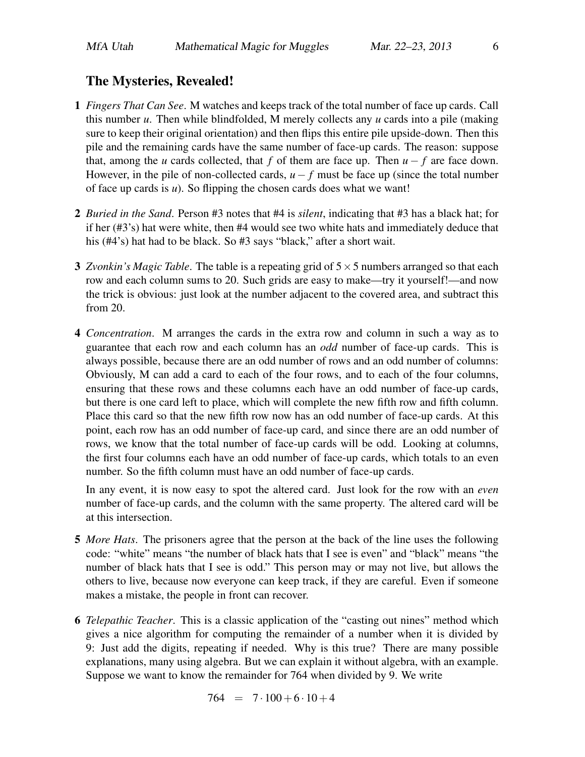## The Mysteries, Revealed!

- 1 *Fingers That Can See*. M watches and keeps track of the total number of face up cards. Call this number *u*. Then while blindfolded, M merely collects any *u* cards into a pile (making sure to keep their original orientation) and then flips this entire pile upside-down. Then this pile and the remaining cards have the same number of face-up cards. The reason: suppose that, among the *u* cards collected, that *f* of them are face up. Then  $u - f$  are face down. However, in the pile of non-collected cards,  $u - f$  must be face up (since the total number of face up cards is *u*). So flipping the chosen cards does what we want!
- 2 *Buried in the Sand*. Person #3 notes that #4 is *silent*, indicating that #3 has a black hat; for if her (#3's) hat were white, then #4 would see two white hats and immediately deduce that his (#4's) hat had to be black. So #3 says "black," after a short wait.
- 3 *Zvonkin's Magic Table*. The table is a repeating grid of 5×5 numbers arranged so that each row and each column sums to 20. Such grids are easy to make—try it yourself!—and now the trick is obvious: just look at the number adjacent to the covered area, and subtract this from 20.
- 4 *Concentration*. M arranges the cards in the extra row and column in such a way as to guarantee that each row and each column has an *odd* number of face-up cards. This is always possible, because there are an odd number of rows and an odd number of columns: Obviously, M can add a card to each of the four rows, and to each of the four columns, ensuring that these rows and these columns each have an odd number of face-up cards, but there is one card left to place, which will complete the new fifth row and fifth column. Place this card so that the new fifth row now has an odd number of face-up cards. At this point, each row has an odd number of face-up card, and since there are an odd number of rows, we know that the total number of face-up cards will be odd. Looking at columns, the first four columns each have an odd number of face-up cards, which totals to an even number. So the fifth column must have an odd number of face-up cards.

In any event, it is now easy to spot the altered card. Just look for the row with an *even* number of face-up cards, and the column with the same property. The altered card will be at this intersection.

- 5 *More Hats*. The prisoners agree that the person at the back of the line uses the following code: "white" means "the number of black hats that I see is even" and "black" means "the number of black hats that I see is odd." This person may or may not live, but allows the others to live, because now everyone can keep track, if they are careful. Even if someone makes a mistake, the people in front can recover.
- 6 *Telepathic Teacher*. This is a classic application of the "casting out nines" method which gives a nice algorithm for computing the remainder of a number when it is divided by 9: Just add the digits, repeating if needed. Why is this true? There are many possible explanations, many using algebra. But we can explain it without algebra, with an example. Suppose we want to know the remainder for 764 when divided by 9. We write

$$
764 = 7 \cdot 100 + 6 \cdot 10 + 4
$$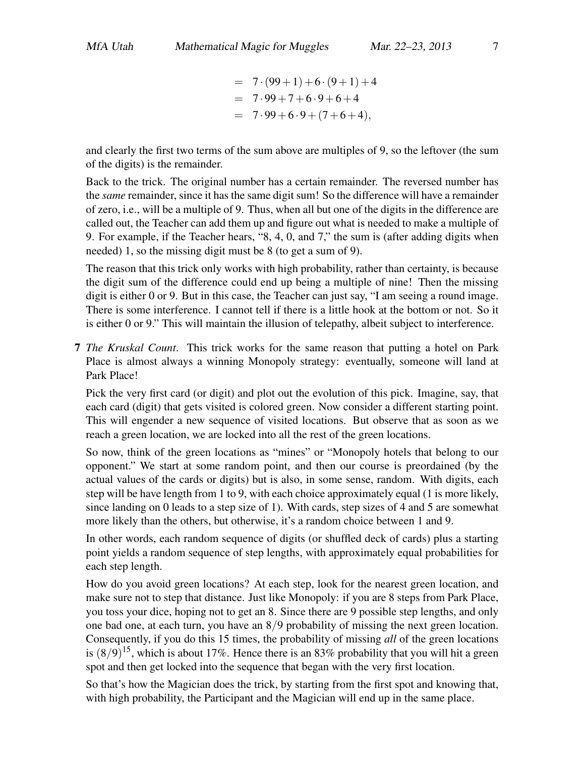$$
= 7 \cdot (99 + 1) + 6 \cdot (9 + 1) + 4
$$
  
= 7 \cdot 99 + 7 + 6 \cdot 9 + 6 + 4  
= 7 \cdot 99 + 6 \cdot 9 + (7 + 6 + 4),

and clearly the first two terms of the sum above are multiples of 9, so the leftover (the sum of the digits) is the remainder.

Back to the trick. The original number has a certain remainder. The reversed number has the *same* remainder, since it has the same digit sum! So the difference will have a remainder of zero, i.e., will be a multiple of 9. Thus, when all but one of the digits in the difference are called out, the Teacher can add them up and figure out what is needed to make a multiple of 9. For example, if the Teacher hears, "8, 4, 0, and 7," the sum is (after adding digits when needed) 1, so the missing digit must be 8 (to get a sum of 9).

The reason that this trick only works with high probability, rather than certainty, is because the digit sum of the difference could end up being a multiple of nine! Then the missing digit is either 0 or 9. But in this case, the Teacher can just say, "I am seeing a round image. There is some interference. I cannot tell if there is a little hook at the bottom or not. So it is either 0 or 9." This will maintain the illusion of telepathy, albeit subject to interference.

7 *The Kruskal Count*. This trick works for the same reason that putting a hotel on Park Place is almost always a winning Monopoly strategy: eventually, someone will land at Park Place!

Pick the very first card (or digit) and plot out the evolution of this pick. Imagine, say, that each card (digit) that gets visited is colored green. Now consider a different starting point. This will engender a new sequence of visited locations. But observe that as soon as we reach a green location, we are locked into all the rest of the green locations.

So now, think of the green locations as "mines" or "Monopoly hotels that belong to our opponent." We start at some random point, and then our course is preordained (by the actual values of the cards or digits) but is also, in some sense, random. With digits, each step will be have length from 1 to 9, with each choice approximately equal (1 is more likely, since landing on 0 leads to a step size of 1). With cards, step sizes of 4 and 5 are somewhat more likely than the others, but otherwise, it's a random choice between 1 and 9.

In other words, each random sequence of digits (or shuffled deck of cards) plus a starting point yields a random sequence of step lengths, with approximately equal probabilities for each step length.

How do you avoid green locations? At each step, look for the nearest green location, and make sure not to step that distance. Just like Monopoly: if you are 8 steps from Park Place, you toss your dice, hoping not to get an 8. Since there are 9 possible step lengths, and only one bad one, at each turn, you have an 8/9 probability of missing the next green location. Consequently, if you do this 15 times, the probability of missing *all* of the green locations is  $(8/9)^{15}$ , which is about 17%. Hence there is an 83% probability that you will hit a green spot and then get locked into the sequence that began with the very first location.

So that's how the Magician does the trick, by starting from the first spot and knowing that, with high probability, the Participant and the Magician will end up in the same place.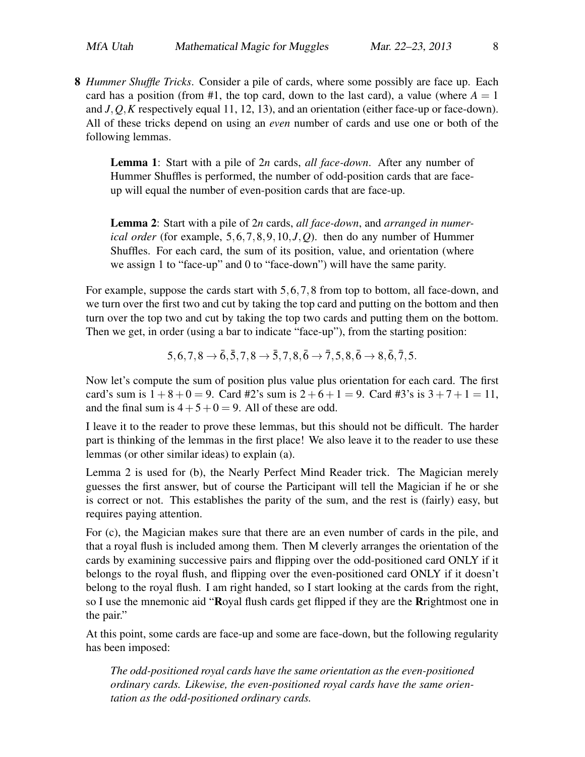8 *Hummer Shuffle Tricks*. Consider a pile of cards, where some possibly are face up. Each card has a position (from #1, the top card, down to the last card), a value (where  $A = 1$ and *J*,*Q*,*K* respectively equal 11, 12, 13), and an orientation (either face-up or face-down). All of these tricks depend on using an *even* number of cards and use one or both of the following lemmas.

Lemma 1: Start with a pile of 2*n* cards, *all face-down*. After any number of Hummer Shuffles is performed, the number of odd-position cards that are faceup will equal the number of even-position cards that are face-up.

Lemma 2: Start with a pile of 2*n* cards, *all face-down*, and *arranged in numerical order* (for example,  $5, 6, 7, 8, 9, 10, J, Q$ ). then do any number of Hummer Shuffles. For each card, the sum of its position, value, and orientation (where we assign 1 to "face-up" and 0 to "face-down") will have the same parity.

For example, suppose the cards start with 5,6,7,8 from top to bottom, all face-down, and we turn over the first two and cut by taking the top card and putting on the bottom and then turn over the top two and cut by taking the top two cards and putting them on the bottom. Then we get, in order (using a bar to indicate "face-up"), from the starting position:

$$
5,6,7,8 \rightarrow \bar{6}, \bar{5}, 7,8 \rightarrow \bar{5}, 7, 8, \bar{6} \rightarrow \bar{7}, 5, 8, \bar{6} \rightarrow 8, \bar{6}, \bar{7}, 5.
$$

Now let's compute the sum of position plus value plus orientation for each card. The first card's sum is  $1+8+0=9$ . Card #2's sum is  $2+6+1=9$ . Card #3's is  $3+7+1=11$ , and the final sum is  $4+5+0=9$ . All of these are odd.

I leave it to the reader to prove these lemmas, but this should not be difficult. The harder part is thinking of the lemmas in the first place! We also leave it to the reader to use these lemmas (or other similar ideas) to explain (a).

Lemma 2 is used for (b), the Nearly Perfect Mind Reader trick. The Magician merely guesses the first answer, but of course the Participant will tell the Magician if he or she is correct or not. This establishes the parity of the sum, and the rest is (fairly) easy, but requires paying attention.

For (c), the Magician makes sure that there are an even number of cards in the pile, and that a royal flush is included among them. Then M cleverly arranges the orientation of the cards by examining successive pairs and flipping over the odd-positioned card ONLY if it belongs to the royal flush, and flipping over the even-positioned card ONLY if it doesn't belong to the royal flush. I am right handed, so I start looking at the cards from the right, so I use the mnemonic aid "Royal flush cards get flipped if they are the Rrightmost one in the pair."

At this point, some cards are face-up and some are face-down, but the following regularity has been imposed:

*The odd-positioned royal cards have the same orientation as the even-positioned ordinary cards. Likewise, the even-positioned royal cards have the same orientation as the odd-positioned ordinary cards.*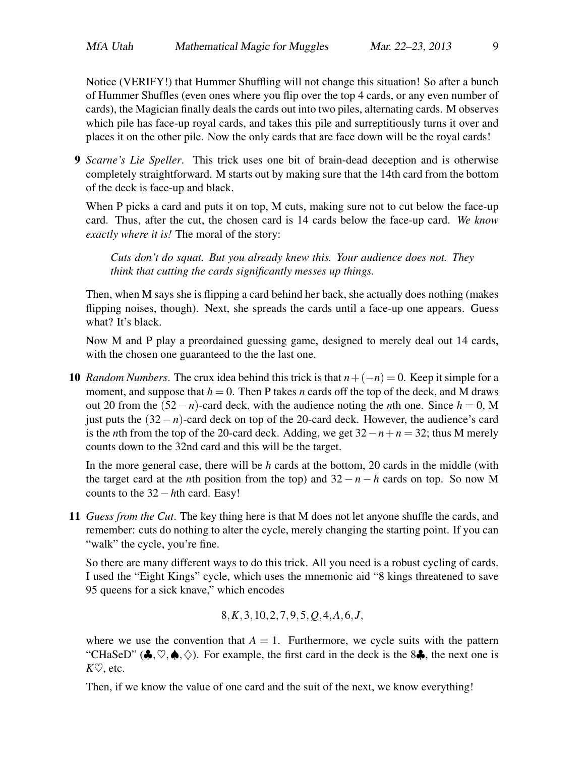Notice (VERIFY!) that Hummer Shuffling will not change this situation! So after a bunch of Hummer Shuffles (even ones where you flip over the top 4 cards, or any even number of cards), the Magician finally deals the cards out into two piles, alternating cards. M observes which pile has face-up royal cards, and takes this pile and surreptitiously turns it over and places it on the other pile. Now the only cards that are face down will be the royal cards!

9 *Scarne's Lie Speller*. This trick uses one bit of brain-dead deception and is otherwise completely straightforward. M starts out by making sure that the 14th card from the bottom of the deck is face-up and black.

When P picks a card and puts it on top, M cuts, making sure not to cut below the face-up card. Thus, after the cut, the chosen card is 14 cards below the face-up card. *We know exactly where it is!* The moral of the story:

*Cuts don't do squat. But you already knew this. Your audience does not. They think that cutting the cards significantly messes up things.*

Then, when M says she is flipping a card behind her back, she actually does nothing (makes flipping noises, though). Next, she spreads the cards until a face-up one appears. Guess what? It's black.

Now M and P play a preordained guessing game, designed to merely deal out 14 cards, with the chosen one guaranteed to the the last one.

10 *Random Numbers*. The crux idea behind this trick is that  $n + (-n) = 0$ . Keep it simple for a moment, and suppose that  $h = 0$ . Then P takes *n* cards off the top of the deck, and M draws out 20 from the  $(52 - n)$ -card deck, with the audience noting the *n*th one. Since  $h = 0$ , M just puts the  $(32 - n)$ -card deck on top of the 20-card deck. However, the audience's card is the *n*th from the top of the 20-card deck. Adding, we get  $32 - n + n = 32$ ; thus M merely counts down to the 32nd card and this will be the target.

In the more general case, there will be *h* cards at the bottom, 20 cards in the middle (with the target card at the *n*th position from the top) and  $32 - n - h$  cards on top. So now M counts to the 32−*h*th card. Easy!

11 *Guess from the Cut*. The key thing here is that M does not let anyone shuffle the cards, and remember: cuts do nothing to alter the cycle, merely changing the starting point. If you can "walk" the cycle, you're fine.

So there are many different ways to do this trick. All you need is a robust cycling of cards. I used the "Eight Kings" cycle, which uses the mnemonic aid "8 kings threatened to save 95 queens for a sick knave," which encodes

$$
8, K, 3, 10, 2, 7, 9, 5, Q, 4, A, 6, J,
$$

where we use the convention that  $A = 1$ . Furthermore, we cycle suits with the pattern "CHaSeD" ( $\clubsuit$ ,  $\heartsuit$ ,  $\spadesuit$ ,  $\diamondsuit$ ). For example, the first card in the deck is the 8 $\clubsuit$ , the next one is  $K\heartsuit$ , etc.

Then, if we know the value of one card and the suit of the next, we know everything!